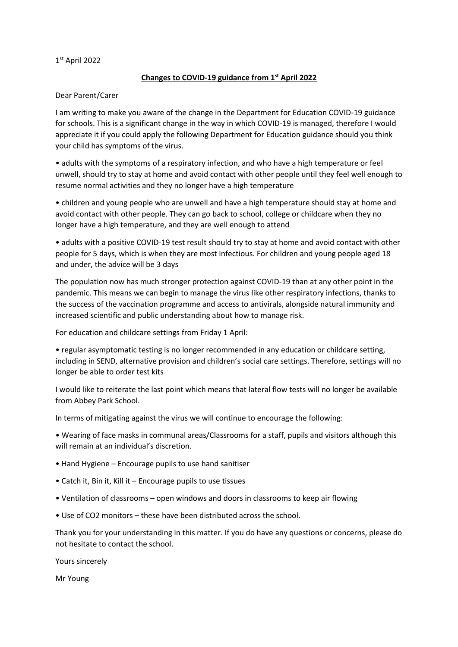## 1 st April 2022

## **Changes to COVID-19 guidance from 1st April 2022**

## Dear Parent/Carer

I am writing to make you aware of the change in the Department for Education COVID-19 guidance for schools. This is a significant change in the way in which COVID-19 is managed, therefore I would appreciate it if you could apply the following Department for Education guidance should you think your child has symptoms of the virus.

• adults with the symptoms of a respiratory infection, and who have a high temperature or feel unwell, should try to stay at home and avoid contact with other people until they feel well enough to resume normal activities and they no longer have a high temperature

• children and young people who are unwell and have a high temperature should stay at home and avoid contact with other people. They can go back to school, college or childcare when they no longer have a high temperature, and they are well enough to attend

• adults with a positive COVID-19 test result should try to stay at home and avoid contact with other people for 5 days, which is when they are most infectious. For children and young people aged 18 and under, the advice will be 3 days

The population now has much stronger protection against COVID-19 than at any other point in the pandemic. This means we can begin to manage the virus like other respiratory infections, thanks to the success of the vaccination programme and access to antivirals, alongside natural immunity and increased scientific and public understanding about how to manage risk.

For education and childcare settings from Friday 1 April:

• regular asymptomatic testing is no longer recommended in any education or childcare setting, including in SEND, alternative provision and children's social care settings. Therefore, settings will no longer be able to order test kits

I would like to reiterate the last point which means that lateral flow tests will no longer be available from Abbey Park School.

In terms of mitigating against the virus we will continue to encourage the following:

• Wearing of face masks in communal areas/Classrooms for a staff, pupils and visitors although this will remain at an individual's discretion.

- Hand Hygiene Encourage pupils to use hand sanitiser
- Catch it, Bin it, Kill it Encourage pupils to use tissues
- Ventilation of classrooms open windows and doors in classrooms to keep air flowing
- Use of CO2 monitors these have been distributed across the school.

Thank you for your understanding in this matter. If you do have any questions or concerns, please do not hesitate to contact the school.

Yours sincerely

Mr Young